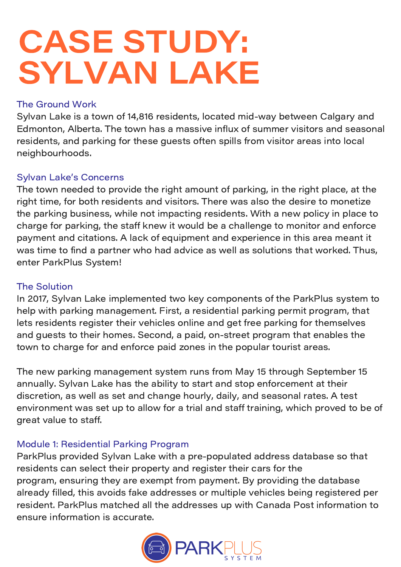# CASE STUDY: SYLVAN LAKE

### The Ground Work

Sylvan Lake is a town of 14,816 residents, located mid-way between Calgary and Edmonton, Alberta. The town has a massive influx of summer visitors and seasonal residents, and parking for these guests often spills from visitor areas into local neighbourhoods.

### Sylvan Lake's Concerns

The town needed to provide the right amount of parking, in the right place, at the right time, for both residents and visitors. There was also the desire to monetize the parking business, while not impacting residents. With a new policy in place to charge for parking, the staff knew it would be a challenge to monitor and enforce payment and citations. A lack of equipment and experience in this area meant it was time to find a partner who had advice as well as solutions that worked. Thus, enter ParkPlus System!

#### The Solution

In 2017, Sylvan Lake implemented two key components of the ParkPlus system to help with parking management. First, a residential parking permit program, that lets residents register their vehicles online and get free parking for themselves and guests to their homes. Second, a paid, on-street program that enables the town to charge for and enforce paid zones in the popular tourist areas.

The new parking management system runs from May 15 through September 15 annually. Sylvan Lake has the ability to start and stop enforcement at their discretion, as well as set and change hourly, daily, and seasonal rates. A test environment was set up to allow for a trial and staff training, which proved to be of great value to staff.

#### Module 1: Residential Parking Program

ParkPlus provided Sylvan Lake with a pre-populated address database so that residents can select their property and register their cars for the program, ensuring they are exempt from payment. By providing the database already filled, this avoids fake addresses or multiple vehicles being registered per resident. ParkPlus matched all the addresses up with Canada Post information to ensure information is accurate.

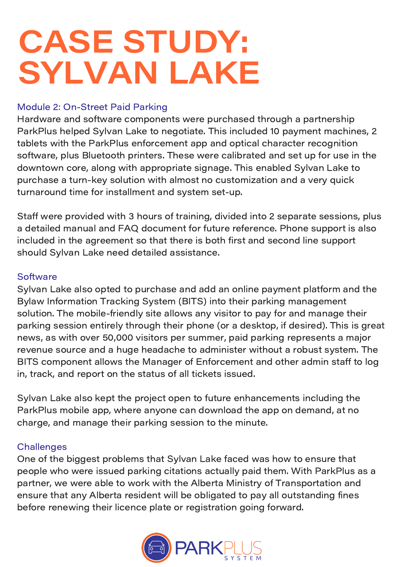# CASE STUDY: SYLVAN LAKE

#### Module 2: On-Street Paid Parking

Hardware and software components were purchased through a partnership ParkPlus helped Sylvan Lake to negotiate. This included 10 payment machines, 2 tablets with the ParkPlus enforcement app and optical character recognition software, plus Bluetooth printers. These were calibrated and set up for use in the downtown core, along with appropriate signage. This enabled Sylvan Lake to purchase a turn-key solution with almost no customization and a very quick turnaround time for installment and system set-up.

Staff were provided with 3 hours of training, divided into 2 separate sessions, plus a detailed manual and FAQ document for future reference. Phone support is also included in the agreement so that there is both first and second line support should Sylvan Lake need detailed assistance.

#### **Software**

Sylvan Lake also opted to purchase and add an online payment platform and the Bylaw Information Tracking System (BITS) into their parking management solution. The mobile-friendly site allows any visitor to pay for and manage their parking session entirely through their phone (or a desktop, if desired). This is great news, as with over 50,000 visitors per summer, paid parking represents a major revenue source and a huge headache to administer without a robust system. The BITS component allows the Manager of Enforcement and other admin staff to log in, track, and report on the status of all tickets issued.

Sylvan Lake also kept the project open to future enhancements including the ParkPlus mobile app, where anyone can download the app on demand, at no charge, and manage their parking session to the minute.

### **Challenges**

One of the biggest problems that Sylvan Lake faced was how to ensure that people who were issued parking citations actually paid them. With ParkPlus as a partner, we were able to work with the Alberta Ministry of Transportation and ensure that any Alberta resident will be obligated to pay all outstanding fines before renewing their licence plate or registration going forward.